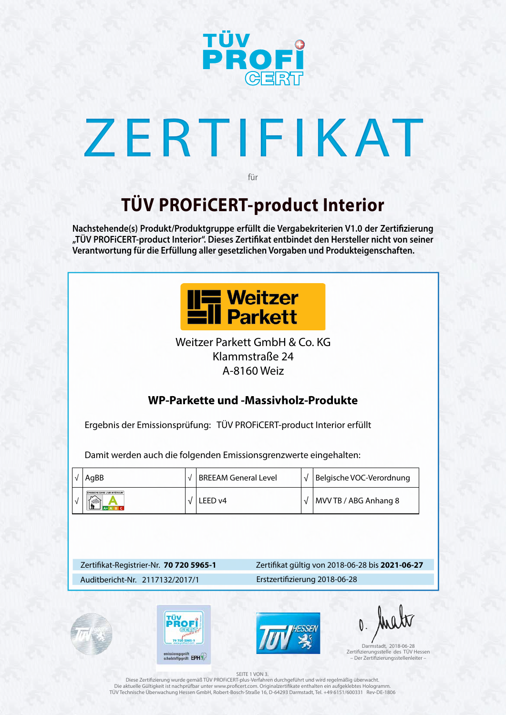

# ZERTIFIKAT

## **TÜV PROFiCERT-product Interior**

für

**Nachstehende(s) Produkt/Produktgruppe erfüllt die Vergabekriterien V1.0 der Zertifizierung "TÜV PROFiCERT-product Interior". Dieses Zertifikat entbindet den Hersteller nicht von seiner Verantwortung für die Erfüllung aller gesetzlichen Vorgaben und Produkteigenschaften.**



### Zertifikat-Registrier-Nr. **70 720 5965-1**

### Auditbericht-Nr. 2117132/2017/1 Erstzertifizierung 2018-06-28









### Zertifikat gültig von 2018-06-28 bis **2021-06-27**

### SEITE 1 VON 3.

Diese Zertifizierung wurde gemäß TÜV PROFiCERT-plus-Verfahren durchgeführt und wird regelmäßig überwacht. Die aktuelle Gültigkeit ist nachprüfbar unter www.proficert.com. Originalzertifikate enthalten ein aufgeklebtes Hologramm. TÜV Technische Überwachung Hessen GmbH, Robert-Bosch-Straße 16, D-64293 Darmstadt, Tel. +49 6151/600331 Rev-DE-1806

Darmstadt, 2018-06-28 Zertifizierungsstelle des TÜV Hessen – Der Zertifizierungsstellenleiter –

### **WP-Parkette und -Massivholz-Produkte**

Ergebnis der Emissionsprüfung: TÜV PROFiCERT-product Interior erfüllt

Damit werden auch die folgenden Emissionsgrenzwerte eingehalten:

| AgBB | <b>BREEAM General Level</b> | $\mathcal{N}$ | Belgische VOC-Verordnung |
|------|-----------------------------|---------------|--------------------------|
|      | LEED v4                     |               | MVV TB / ABG Anhang 8    |

Weitzer Parkett GmbH & Co. KG Klammstraße 24 A-8160 Weiz